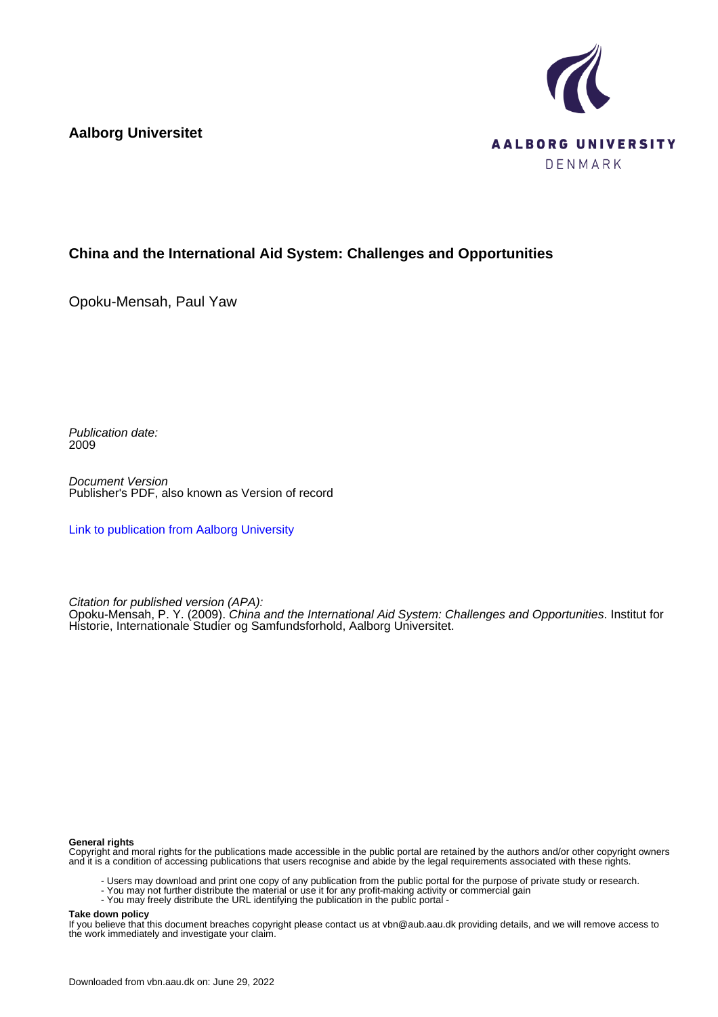**Aalborg Universitet**



#### **China and the International Aid System: Challenges and Opportunities**

Opoku-Mensah, Paul Yaw

Publication date: 2009

Document Version Publisher's PDF, also known as Version of record

[Link to publication from Aalborg University](https://vbn.aau.dk/en/publications/20d1e060-e4c1-11de-abf1-000ea68e967b)

Citation for published version (APA):

Opoku-Mensah, P. Y. (2009). China and the International Aid System: Challenges and Opportunities. Institut for Historie, Internationale Studier og Samfundsforhold, Aalborg Universitet.

#### **General rights**

Copyright and moral rights for the publications made accessible in the public portal are retained by the authors and/or other copyright owners and it is a condition of accessing publications that users recognise and abide by the legal requirements associated with these rights.

- Users may download and print one copy of any publication from the public portal for the purpose of private study or research.
- You may not further distribute the material or use it for any profit-making activity or commercial gain
- You may freely distribute the URL identifying the publication in the public portal -

#### **Take down policy**

If you believe that this document breaches copyright please contact us at vbn@aub.aau.dk providing details, and we will remove access to the work immediately and investigate your claim.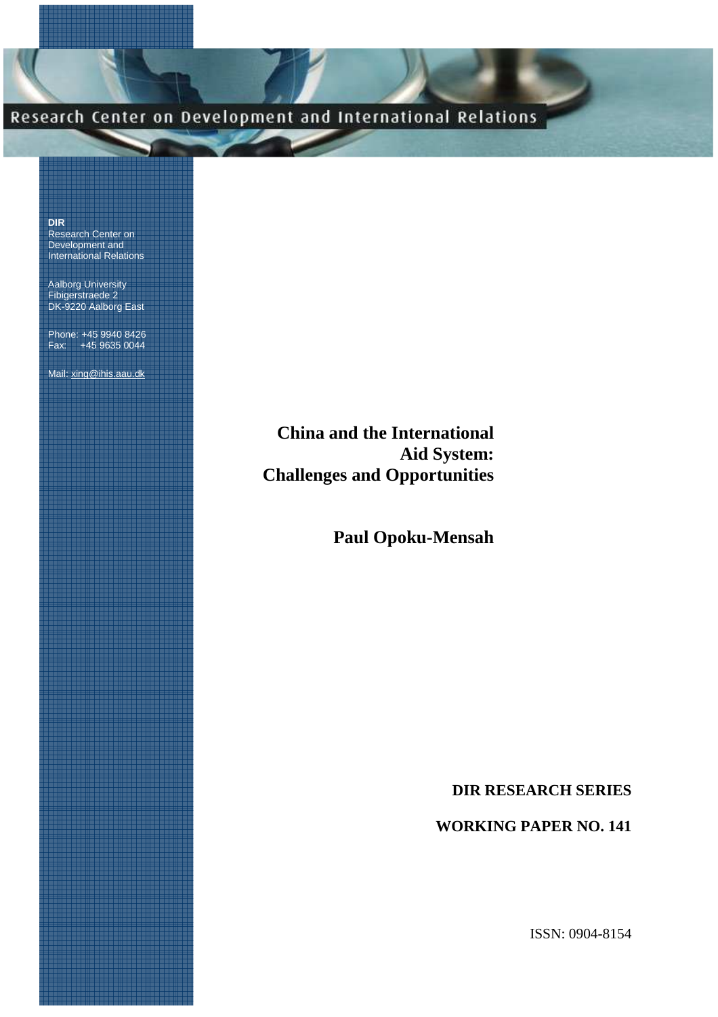# Research Center on Development and International Relations

**DIR** Research Center on Development and International Relations

Aalborg University Fibigerstraede 2 DK-9220 Aalborg East

Phone: +45 9940 8426 Fax: +45 9635 0044

Mail: xing@ihis.aau.dk

**China and the International Aid System: Challenges and Opportunities**

**Paul Opoku-Mensah**

**DIR RESEARCH SERIES** 

**WORKING PAPER NO. 141**

ISSN: 0904-8154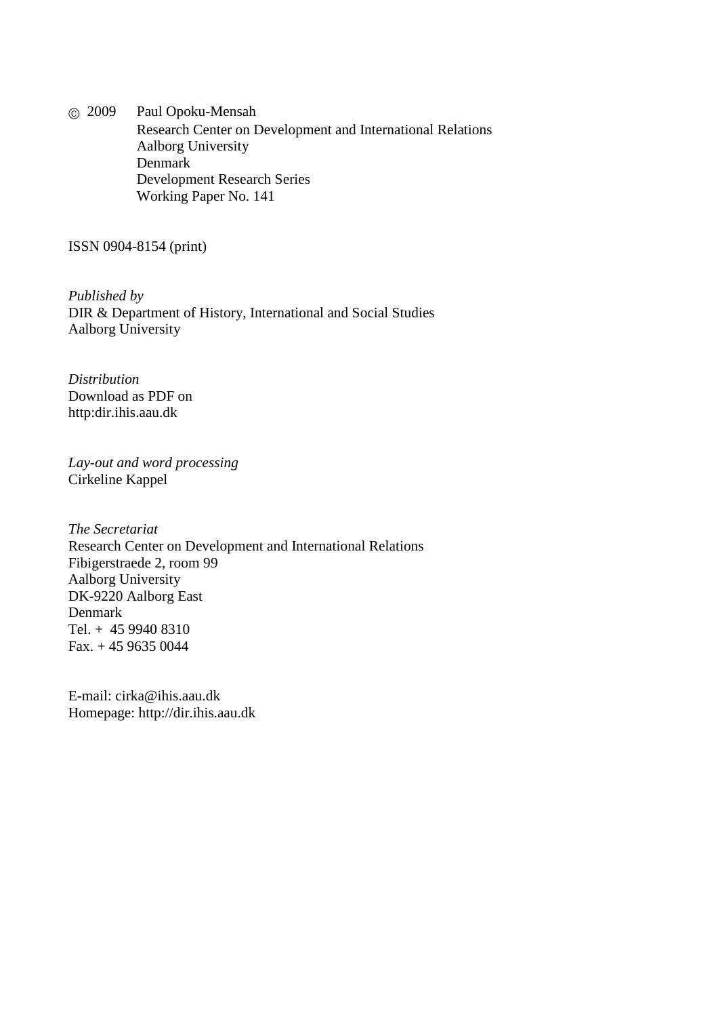© 2009 Paul Opoku-Mensah Research Center on Development and International Relations Aalborg University Denmark Development Research Series Working Paper No. 141

ISSN 0904-8154 (print)

*Published by*  DIR & Department of History, International and Social Studies Aalborg University

*Distribution*  Download as PDF on http:dir.ihis.aau.dk

*Lay-out and word processing*  Cirkeline Kappel

*The Secretariat* Research Center on Development and International Relations Fibigerstraede 2, room 99 Aalborg University DK-9220 Aalborg East Denmark Tel. + 45 9940 8310 Fax. + 45 9635 0044

E-mail: cirka@ihis.aau.dk Homepage: http://dir.ihis.aau.dk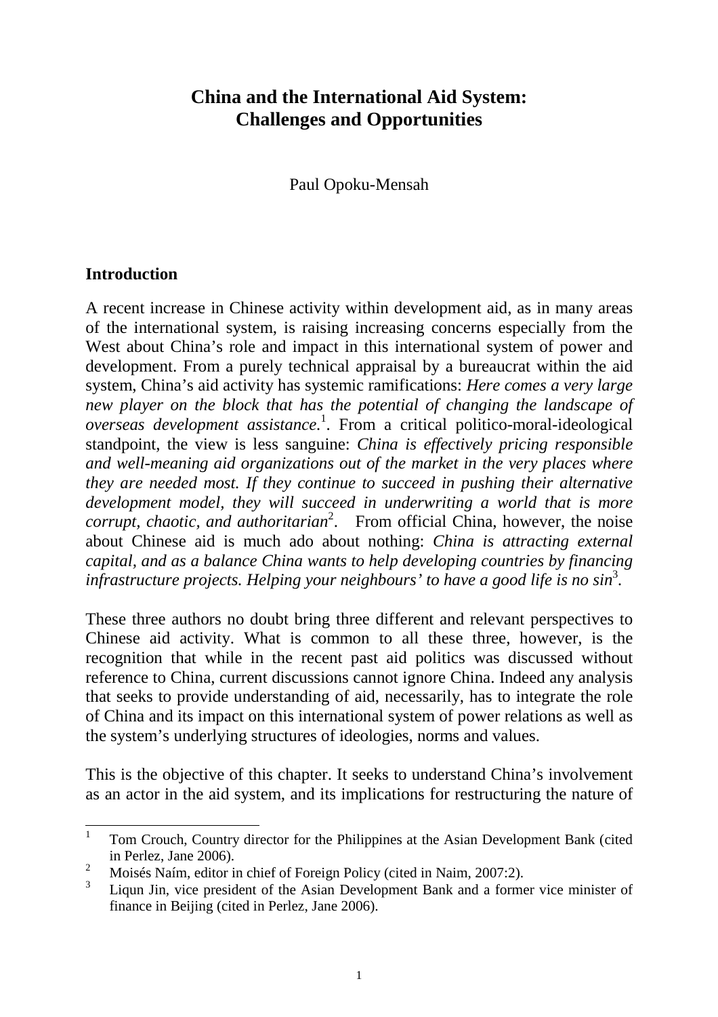## **China and the International Aid System: Challenges and Opportunities**

Paul Opoku-Mensah

## **Introduction**

A recent increase in Chinese activity within development aid, as in many areas of the international system, is raising increasing concerns especially from the West about China's role and impact in this international system of power and development. From a purely technical appraisal by a bureaucrat within the aid system, China's aid activity has systemic ramifications: *Here comes a very large new player on the block that has the potential of changing the landscape of overseas development assistance.*<sup>1</sup> . From a critical politico-moral-ideological standpoint, the view is less sanguine: *China is effectively pricing responsible and well-meaning aid organizations out of the market in the very places where they are needed most. If they continue to succeed in pushing their alternative development model, they will succeed in underwriting a world that is more corrupt, chaotic, and authoritarian*<sup>2</sup>. From official China, however, the noise about Chinese aid is much ado about nothing: *China is attracting external capital, and as a balance China wants to help developing countries by financing infrastructure projects. Helping your neighbours' to have a good life is no sin*<sup>3</sup> *.*

These three authors no doubt bring three different and relevant perspectives to Chinese aid activity. What is common to all these three, however, is the recognition that while in the recent past aid politics was discussed without reference to China, current discussions cannot ignore China. Indeed any analysis that seeks to provide understanding of aid, necessarily, has to integrate the role of China and its impact on this international system of power relations as well as the system's underlying structures of ideologies, norms and values.

This is the objective of this chapter. It seeks to understand China's involvement as an actor in the aid system, and its implications for restructuring the nature of

 1 Tom Crouch, Country director for the Philippines at the Asian Development Bank (cited in Perlez, Jane 2006).

<sup>2</sup> Moisés Naím, editor in chief of Foreign Policy (cited in Naim, 2007:2).

<sup>3</sup> Liqun Jin, vice president of the Asian Development Bank and a former vice minister of finance in Beijing (cited in Perlez, Jane 2006).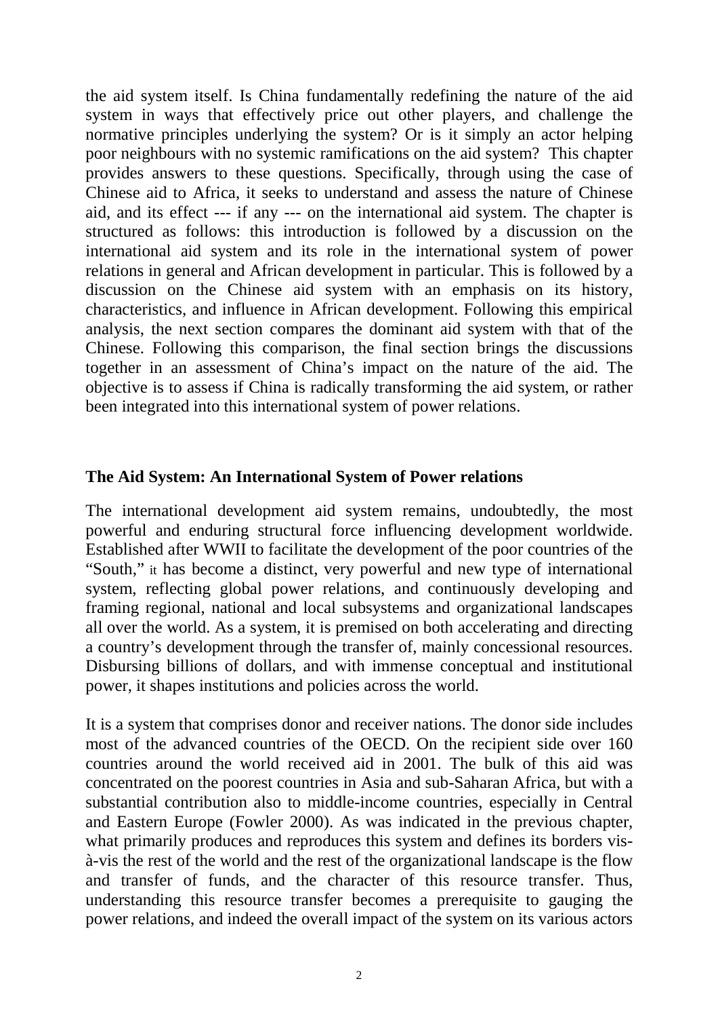the aid system itself. Is China fundamentally redefining the nature of the aid system in ways that effectively price out other players, and challenge the normative principles underlying the system? Or is it simply an actor helping poor neighbours with no systemic ramifications on the aid system? This chapter provides answers to these questions. Specifically, through using the case of Chinese aid to Africa, it seeks to understand and assess the nature of Chinese aid, and its effect --- if any --- on the international aid system. The chapter is structured as follows: this introduction is followed by a discussion on the international aid system and its role in the international system of power relations in general and African development in particular. This is followed by a discussion on the Chinese aid system with an emphasis on its history, characteristics, and influence in African development. Following this empirical analysis, the next section compares the dominant aid system with that of the Chinese. Following this comparison, the final section brings the discussions together in an assessment of China's impact on the nature of the aid. The objective is to assess if China is radically transforming the aid system, or rather been integrated into this international system of power relations.

### **The Aid System: An International System of Power relations**

The international development aid system remains, undoubtedly, the most powerful and enduring structural force influencing development worldwide. Established after WWII to facilitate the development of the poor countries of the "South," it has become a distinct, very powerful and new type of international system, reflecting global power relations, and continuously developing and framing regional, national and local subsystems and organizational landscapes all over the world. As a system, it is premised on both accelerating and directing a country's development through the transfer of, mainly concessional resources. Disbursing billions of dollars, and with immense conceptual and institutional power, it shapes institutions and policies across the world.

It is a system that comprises donor and receiver nations. The donor side includes most of the advanced countries of the OECD. On the recipient side over 160 countries around the world received aid in 2001. The bulk of this aid was concentrated on the poorest countries in Asia and sub-Saharan Africa, but with a substantial contribution also to middle-income countries, especially in Central and Eastern Europe (Fowler 2000). As was indicated in the previous chapter, what primarily produces and reproduces this system and defines its borders visà-vis the rest of the world and the rest of the organizational landscape is the flow and transfer of funds, and the character of this resource transfer. Thus, understanding this resource transfer becomes a prerequisite to gauging the power relations, and indeed the overall impact of the system on its various actors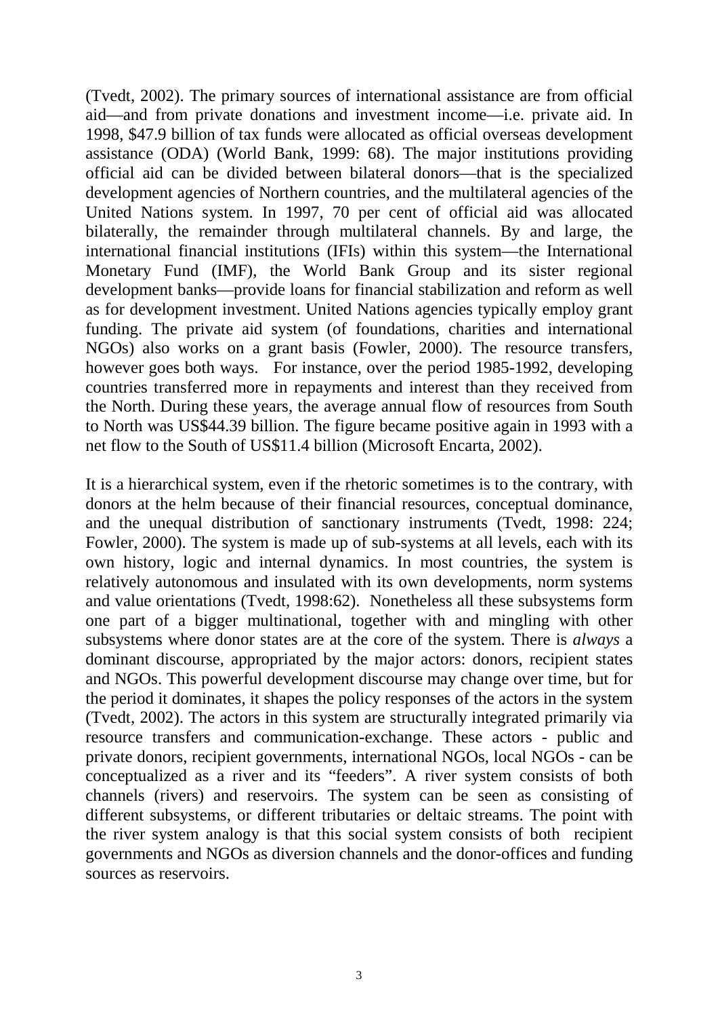(Tvedt, 2002). The primary sources of international assistance are from official aid—and from private donations and investment income—i.e. private aid. In 1998, \$47.9 billion of tax funds were allocated as official overseas development assistance (ODA) (World Bank, 1999: 68). The major institutions providing official aid can be divided between bilateral donors—that is the specialized development agencies of Northern countries, and the multilateral agencies of the United Nations system. In 1997, 70 per cent of official aid was allocated bilaterally, the remainder through multilateral channels. By and large, the international financial institutions (IFIs) within this system—the International Monetary Fund (IMF), the World Bank Group and its sister regional development banks—provide loans for financial stabilization and reform as well as for development investment. United Nations agencies typically employ grant funding. The private aid system (of foundations, charities and international NGOs) also works on a grant basis (Fowler, 2000). The resource transfers, however goes both ways. For instance, over the period 1985-1992, developing countries transferred more in repayments and interest than they received from the North. During these years, the average annual flow of resources from South to North was US\$44.39 billion. The figure became positive again in 1993 with a net flow to the South of US\$11.4 billion (Microsoft Encarta, 2002).

It is a hierarchical system, even if the rhetoric sometimes is to the contrary, with donors at the helm because of their financial resources, conceptual dominance, and the unequal distribution of sanctionary instruments (Tvedt, 1998: 224; Fowler, 2000). The system is made up of sub-systems at all levels, each with its own history, logic and internal dynamics. In most countries, the system is relatively autonomous and insulated with its own developments, norm systems and value orientations (Tvedt, 1998:62). Nonetheless all these subsystems form one part of a bigger multinational, together with and mingling with other subsystems where donor states are at the core of the system. There is *always* a dominant discourse, appropriated by the major actors: donors, recipient states and NGOs. This powerful development discourse may change over time, but for the period it dominates, it shapes the policy responses of the actors in the system (Tvedt, 2002). The actors in this system are structurally integrated primarily via resource transfers and communication-exchange. These actors - public and private donors, recipient governments, international NGOs, local NGOs - can be conceptualized as a river and its "feeders". A river system consists of both channels (rivers) and reservoirs. The system can be seen as consisting of different subsystems, or different tributaries or deltaic streams. The point with the river system analogy is that this social system consists of both recipient governments and NGOs as diversion channels and the donor-offices and funding sources as reservoirs.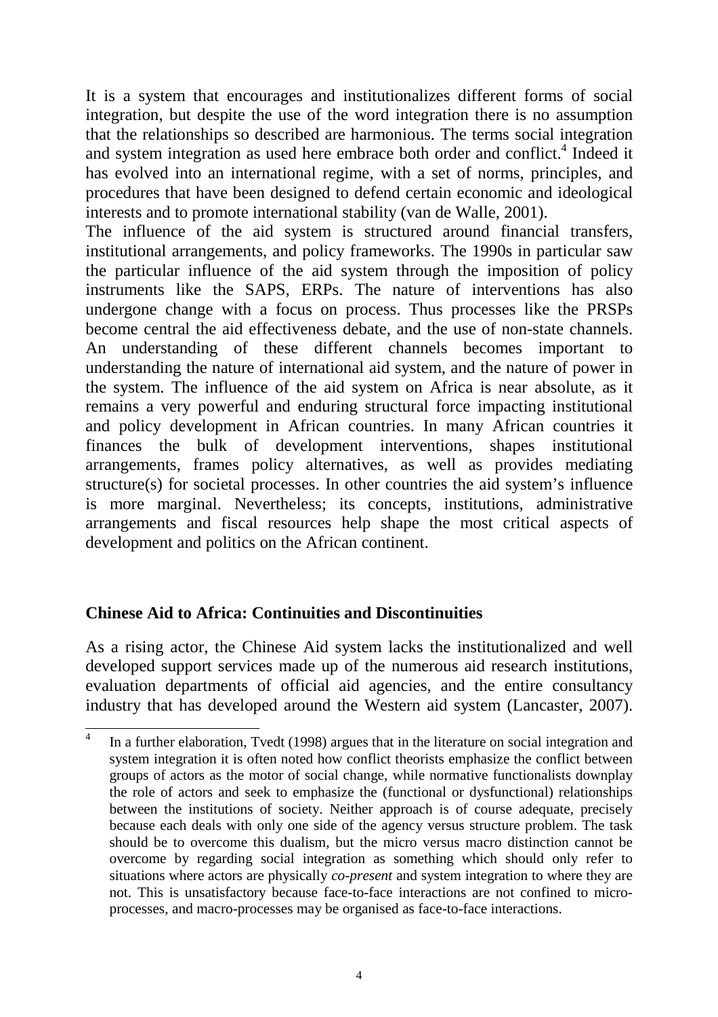It is a system that encourages and institutionalizes different forms of social integration, but despite the use of the word integration there is no assumption that the relationships so described are harmonious. The terms social integration and system integration as used here embrace both order and conflict.<sup>4</sup> Indeed it has evolved into an international regime, with a set of norms, principles, and procedures that have been designed to defend certain economic and ideological interests and to promote international stability (van de Walle, 2001).

The influence of the aid system is structured around financial transfers, institutional arrangements, and policy frameworks. The 1990s in particular saw the particular influence of the aid system through the imposition of policy instruments like the SAPS, ERPs. The nature of interventions has also undergone change with a focus on process. Thus processes like the PRSPs become central the aid effectiveness debate, and the use of non-state channels. An understanding of these different channels becomes important to understanding the nature of international aid system, and the nature of power in the system. The influence of the aid system on Africa is near absolute, as it remains a very powerful and enduring structural force impacting institutional and policy development in African countries. In many African countries it finances the bulk of development interventions, shapes institutional arrangements, frames policy alternatives, as well as provides mediating structure(s) for societal processes. In other countries the aid system's influence is more marginal. Nevertheless; its concepts, institutions, administrative arrangements and fiscal resources help shape the most critical aspects of development and politics on the African continent.

## **Chinese Aid to Africa: Continuities and Discontinuities**

As a rising actor, the Chinese Aid system lacks the institutionalized and well developed support services made up of the numerous aid research institutions, evaluation departments of official aid agencies, and the entire consultancy industry that has developed around the Western aid system (Lancaster, 2007).

 4 In a further elaboration, Tvedt (1998) argues that in the literature on social integration and system integration it is often noted how conflict theorists emphasize the conflict between groups of actors as the motor of social change, while normative functionalists downplay the role of actors and seek to emphasize the (functional or dysfunctional) relationships between the institutions of society. Neither approach is of course adequate, precisely because each deals with only one side of the agency versus structure problem. The task should be to overcome this dualism, but the micro versus macro distinction cannot be overcome by regarding social integration as something which should only refer to situations where actors are physically *co-present* and system integration to where they are not. This is unsatisfactory because face-to-face interactions are not confined to microprocesses, and macro-processes may be organised as face-to-face interactions.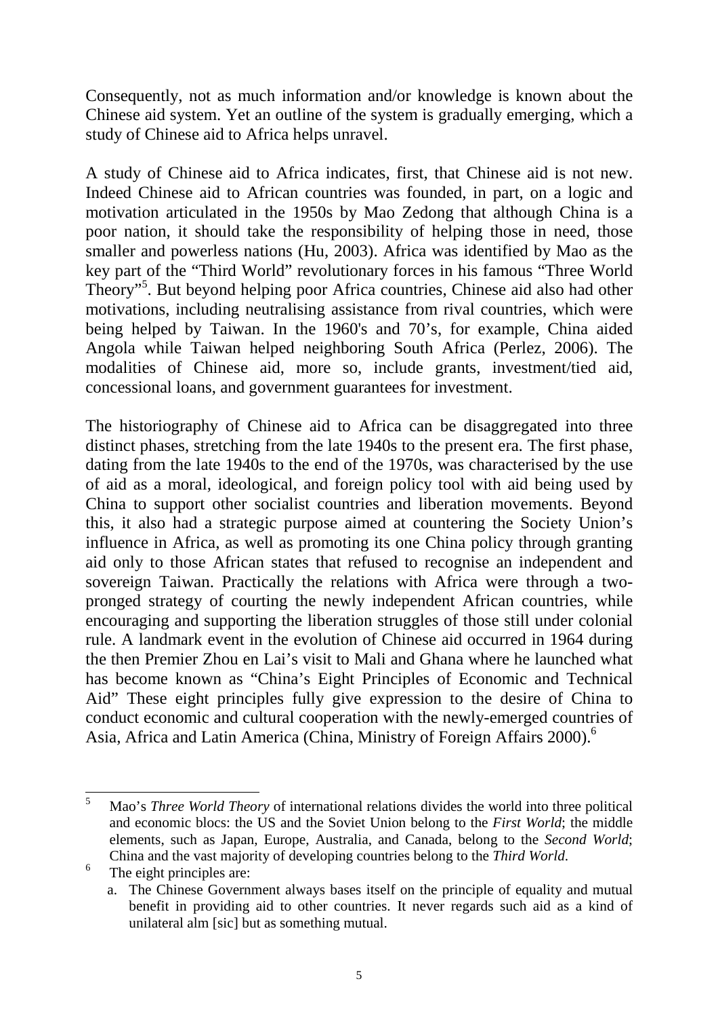Consequently, not as much information and/or knowledge is known about the Chinese aid system. Yet an outline of the system is gradually emerging, which a study of Chinese aid to Africa helps unravel.

A study of Chinese aid to Africa indicates, first, that Chinese aid is not new. Indeed Chinese aid to African countries was founded, in part, on a logic and motivation articulated in the 1950s by Mao Zedong that although China is a poor nation, it should take the responsibility of helping those in need, those smaller and powerless nations (Hu, 2003). Africa was identified by Mao as the key part of the "Third World" revolutionary forces in his famous "Three World Theory"<sup>5</sup>. But beyond helping poor Africa countries, Chinese aid also had other motivations, including neutralising assistance from rival countries, which were being helped by Taiwan. In the 1960's and 70's, for example, China aided Angola while Taiwan helped neighboring South Africa (Perlez, 2006). The modalities of Chinese aid, more so, include grants, investment/tied aid, concessional loans, and government guarantees for investment.

The historiography of Chinese aid to Africa can be disaggregated into three distinct phases, stretching from the late 1940s to the present era. The first phase, dating from the late 1940s to the end of the 1970s, was characterised by the use of aid as a moral, ideological, and foreign policy tool with aid being used by China to support other socialist countries and liberation movements. Beyond this, it also had a strategic purpose aimed at countering the Society Union's influence in Africa, as well as promoting its one China policy through granting aid only to those African states that refused to recognise an independent and sovereign Taiwan. Practically the relations with Africa were through a twopronged strategy of courting the newly independent African countries, while encouraging and supporting the liberation struggles of those still under colonial rule. A landmark event in the evolution of Chinese aid occurred in 1964 during the then Premier Zhou en Lai's visit to Mali and Ghana where he launched what has become known as "China's Eight Principles of Economic and Technical Aid" These eight principles fully give expression to the desire of China to conduct economic and cultural cooperation with the newly-emerged countries of Asia, Africa and Latin America (China, Ministry of Foreign Affairs 2000).<sup>6</sup>

 5 Mao's *Three World Theory* of international relations divides the world into three political and economic blocs: the US and the Soviet Union belong to the *First World*; the middle elements, such as Japan, Europe, Australia, and Canada, belong to the *Second World*; China and the vast majority of developing countries belong to the *Third World*.

<sup>6</sup> The eight principles are:

a. The Chinese Government always bases itself on the principle of equality and mutual benefit in providing aid to other countries. It never regards such aid as a kind of unilateral alm [sic] but as something mutual.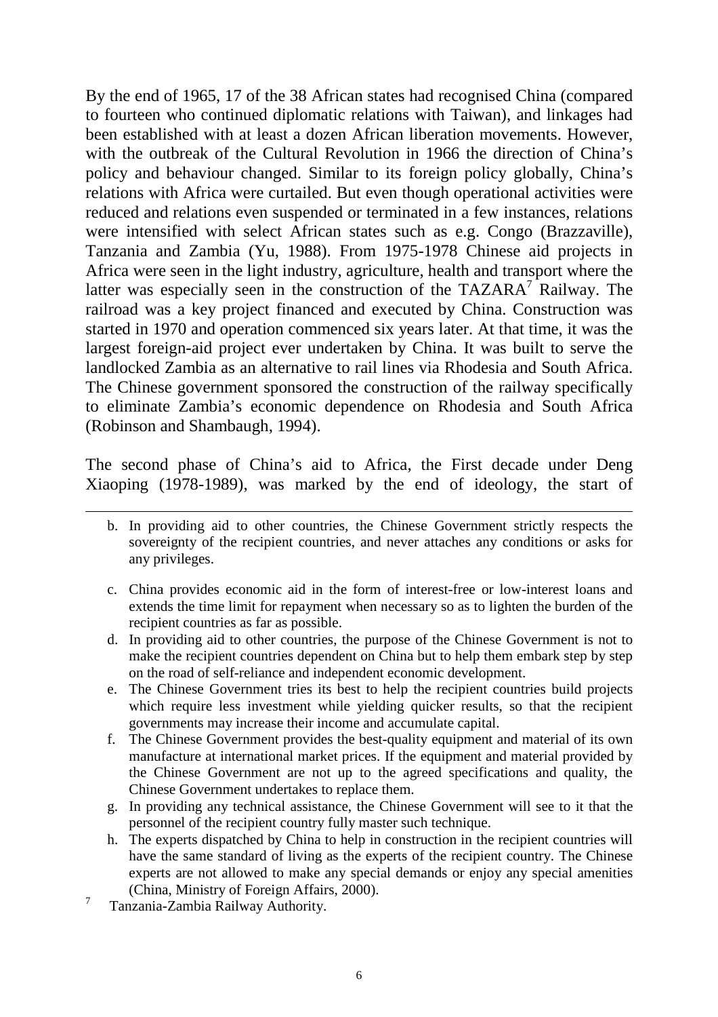By the end of 1965, 17 of the 38 African states had recognised China (compared to fourteen who continued diplomatic relations with Taiwan), and linkages had been established with at least a dozen African liberation movements. However, with the outbreak of the Cultural Revolution in 1966 the direction of China's policy and behaviour changed. Similar to its foreign policy globally, China's relations with Africa were curtailed. But even though operational activities were reduced and relations even suspended or terminated in a few instances, relations were intensified with select African states such as e.g. Congo (Brazzaville), Tanzania and Zambia (Yu, 1988). From 1975-1978 Chinese aid projects in Africa were seen in the light industry, agriculture, health and transport where the latter was especially seen in the construction of the TAZARA<sup>7</sup> Railway. The railroad was a key project financed and executed by China. Construction was started in 1970 and operation commenced six years later. At that time, it was the largest foreign-aid project ever undertaken by China. It was built to serve the landlocked Zambia as an alternative to rail lines via Rhodesia and South Africa. The Chinese government sponsored the construction of the railway specifically to eliminate Zambia's economic dependence on Rhodesia and South Africa (Robinson and Shambaugh, 1994).

The second phase of China's aid to Africa, the First decade under Deng Xiaoping (1978-1989), was marked by the end of ideology, the start of

- b. In providing aid to other countries, the Chinese Government strictly respects the sovereignty of the recipient countries, and never attaches any conditions or asks for any privileges.
- c. China provides economic aid in the form of interest-free or low-interest loans and extends the time limit for repayment when necessary so as to lighten the burden of the recipient countries as far as possible.
- d. In providing aid to other countries, the purpose of the Chinese Government is not to make the recipient countries dependent on China but to help them embark step by step on the road of self-reliance and independent economic development.
- e. The Chinese Government tries its best to help the recipient countries build projects which require less investment while yielding quicker results, so that the recipient governments may increase their income and accumulate capital.
- f. The Chinese Government provides the best-quality equipment and material of its own manufacture at international market prices. If the equipment and material provided by the Chinese Government are not up to the agreed specifications and quality, the Chinese Government undertakes to replace them.
- g. In providing any technical assistance, the Chinese Government will see to it that the personnel of the recipient country fully master such technique.
- h. The experts dispatched by China to help in construction in the recipient countries will have the same standard of living as the experts of the recipient country. The Chinese experts are not allowed to make any special demands or enjoy any special amenities (China, Ministry of Foreign Affairs, 2000).
- 7 Tanzania-Zambia Railway Authority.

 $\overline{a}$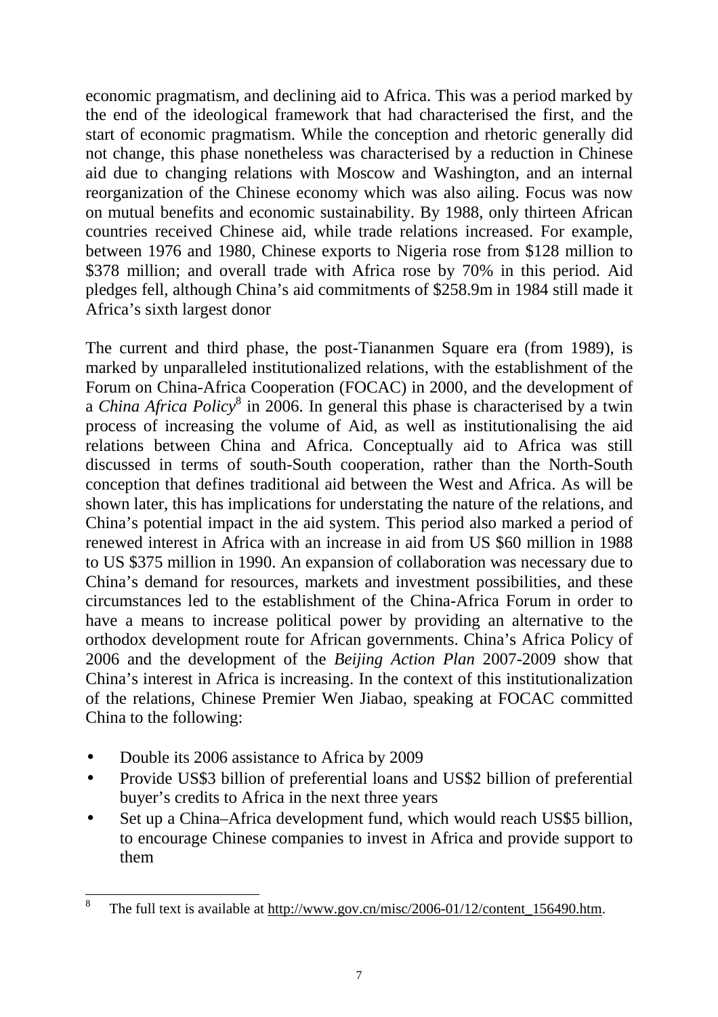economic pragmatism, and declining aid to Africa. This was a period marked by the end of the ideological framework that had characterised the first, and the start of economic pragmatism. While the conception and rhetoric generally did not change, this phase nonetheless was characterised by a reduction in Chinese aid due to changing relations with Moscow and Washington, and an internal reorganization of the Chinese economy which was also ailing. Focus was now on mutual benefits and economic sustainability. By 1988, only thirteen African countries received Chinese aid, while trade relations increased. For example, between 1976 and 1980, Chinese exports to Nigeria rose from \$128 million to \$378 million; and overall trade with Africa rose by 70% in this period. Aid pledges fell, although China's aid commitments of \$258.9m in 1984 still made it Africa's sixth largest donor

The current and third phase, the post-Tiananmen Square era (from 1989), is marked by unparalleled institutionalized relations, with the establishment of the Forum on China-Africa Cooperation (FOCAC) in 2000, and the development of a *China Africa Policy*<sup>8</sup> in 2006. In general this phase is characterised by a twin process of increasing the volume of Aid, as well as institutionalising the aid relations between China and Africa. Conceptually aid to Africa was still discussed in terms of south-South cooperation, rather than the North-South conception that defines traditional aid between the West and Africa. As will be shown later, this has implications for understating the nature of the relations, and China's potential impact in the aid system. This period also marked a period of renewed interest in Africa with an increase in aid from US \$60 million in 1988 to US \$375 million in 1990. An expansion of collaboration was necessary due to China's demand for resources, markets and investment possibilities, and these circumstances led to the establishment of the China-Africa Forum in order to have a means to increase political power by providing an alternative to the orthodox development route for African governments. China's Africa Policy of 2006 and the development of the *Beijing Action Plan* 2007-2009 show that China's interest in Africa is increasing. In the context of this institutionalization of the relations, Chinese Premier Wen Jiabao, speaking at FOCAC committed China to the following:

- Double its 2006 assistance to Africa by 2009
- Provide US\$3 billion of preferential loans and US\$2 billion of preferential buyer's credits to Africa in the next three years
- Set up a China–Africa development fund, which would reach US\$5 billion, to encourage Chinese companies to invest in Africa and provide support to them

 8 The full text is available at http://www.gov.cn/misc/2006-01/12/content\_156490.htm.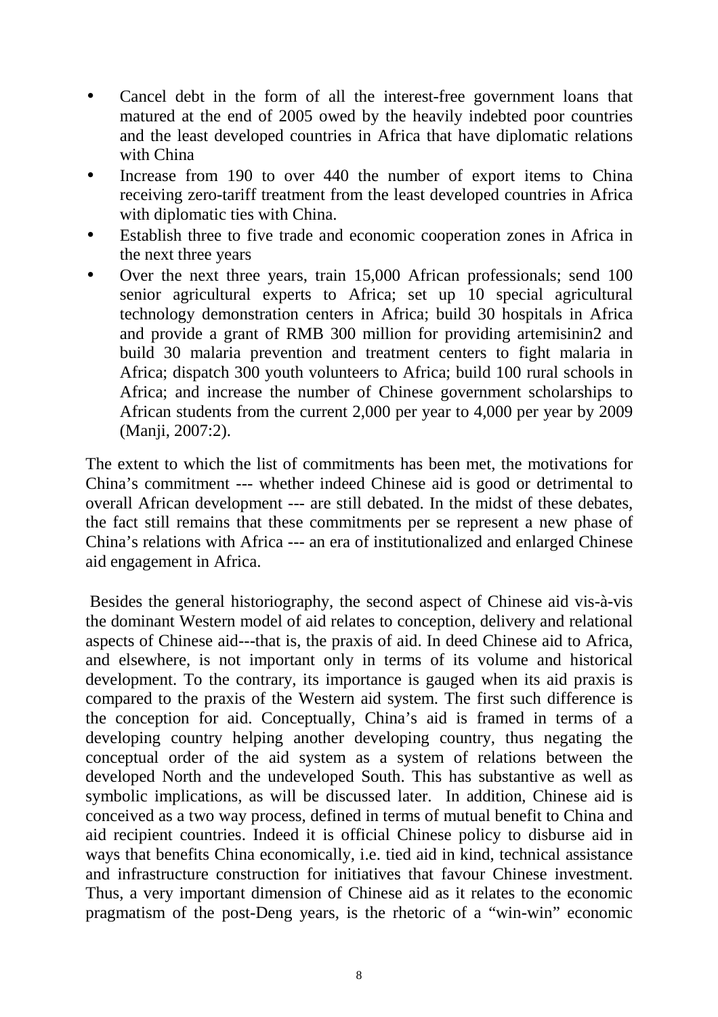- Cancel debt in the form of all the interest-free government loans that matured at the end of 2005 owed by the heavily indebted poor countries and the least developed countries in Africa that have diplomatic relations with China
- Increase from 190 to over 440 the number of export items to China receiving zero-tariff treatment from the least developed countries in Africa with diplomatic ties with China.
- Establish three to five trade and economic cooperation zones in Africa in the next three years
- Over the next three years, train 15,000 African professionals; send 100 senior agricultural experts to Africa; set up 10 special agricultural technology demonstration centers in Africa; build 30 hospitals in Africa and provide a grant of RMB 300 million for providing artemisinin2 and build 30 malaria prevention and treatment centers to fight malaria in Africa; dispatch 300 youth volunteers to Africa; build 100 rural schools in Africa; and increase the number of Chinese government scholarships to African students from the current 2,000 per year to 4,000 per year by 2009 (Manji, 2007:2).

The extent to which the list of commitments has been met, the motivations for China's commitment --- whether indeed Chinese aid is good or detrimental to overall African development --- are still debated. In the midst of these debates, the fact still remains that these commitments per se represent a new phase of China's relations with Africa --- an era of institutionalized and enlarged Chinese aid engagement in Africa.

Besides the general historiography, the second aspect of Chinese aid vis-à-vis the dominant Western model of aid relates to conception, delivery and relational aspects of Chinese aid---that is, the praxis of aid. In deed Chinese aid to Africa, and elsewhere, is not important only in terms of its volume and historical development. To the contrary, its importance is gauged when its aid praxis is compared to the praxis of the Western aid system. The first such difference is the conception for aid. Conceptually, China's aid is framed in terms of a developing country helping another developing country, thus negating the conceptual order of the aid system as a system of relations between the developed North and the undeveloped South. This has substantive as well as symbolic implications, as will be discussed later. In addition, Chinese aid is conceived as a two way process, defined in terms of mutual benefit to China and aid recipient countries. Indeed it is official Chinese policy to disburse aid in ways that benefits China economically, i.e. tied aid in kind, technical assistance and infrastructure construction for initiatives that favour Chinese investment. Thus, a very important dimension of Chinese aid as it relates to the economic pragmatism of the post-Deng years, is the rhetoric of a "win-win" economic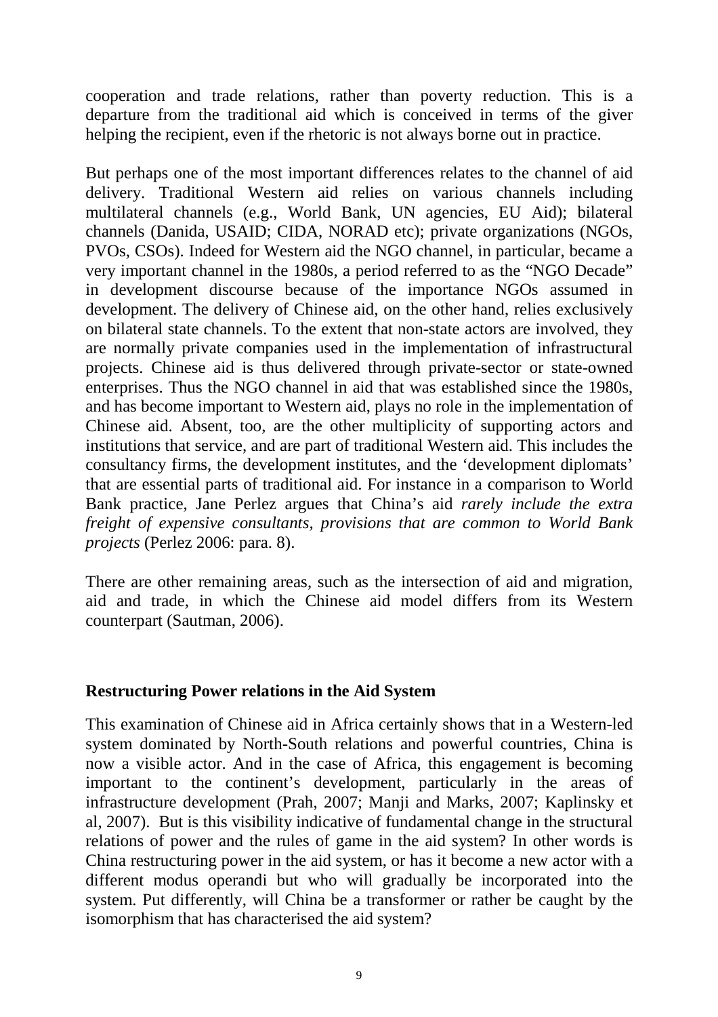cooperation and trade relations, rather than poverty reduction. This is a departure from the traditional aid which is conceived in terms of the giver helping the recipient, even if the rhetoric is not always borne out in practice.

But perhaps one of the most important differences relates to the channel of aid delivery. Traditional Western aid relies on various channels including multilateral channels (e.g., World Bank, UN agencies, EU Aid); bilateral channels (Danida, USAID; CIDA, NORAD etc); private organizations (NGOs, PVOs, CSOs). Indeed for Western aid the NGO channel, in particular, became a very important channel in the 1980s, a period referred to as the "NGO Decade" in development discourse because of the importance NGOs assumed in development. The delivery of Chinese aid, on the other hand, relies exclusively on bilateral state channels. To the extent that non-state actors are involved, they are normally private companies used in the implementation of infrastructural projects. Chinese aid is thus delivered through private-sector or state-owned enterprises. Thus the NGO channel in aid that was established since the 1980s, and has become important to Western aid, plays no role in the implementation of Chinese aid. Absent, too, are the other multiplicity of supporting actors and institutions that service, and are part of traditional Western aid. This includes the consultancy firms, the development institutes, and the 'development diplomats' that are essential parts of traditional aid. For instance in a comparison to World Bank practice, Jane Perlez argues that China's aid *rarely include the extra freight of expensive consultants, provisions that are common to World Bank projects* (Perlez 2006: para. 8).

There are other remaining areas, such as the intersection of aid and migration, aid and trade, in which the Chinese aid model differs from its Western counterpart (Sautman, 2006).

### **Restructuring Power relations in the Aid System**

This examination of Chinese aid in Africa certainly shows that in a Western-led system dominated by North-South relations and powerful countries, China is now a visible actor. And in the case of Africa, this engagement is becoming important to the continent's development, particularly in the areas of infrastructure development (Prah, 2007; Manji and Marks, 2007; Kaplinsky et al, 2007). But is this visibility indicative of fundamental change in the structural relations of power and the rules of game in the aid system? In other words is China restructuring power in the aid system, or has it become a new actor with a different modus operandi but who will gradually be incorporated into the system. Put differently, will China be a transformer or rather be caught by the isomorphism that has characterised the aid system?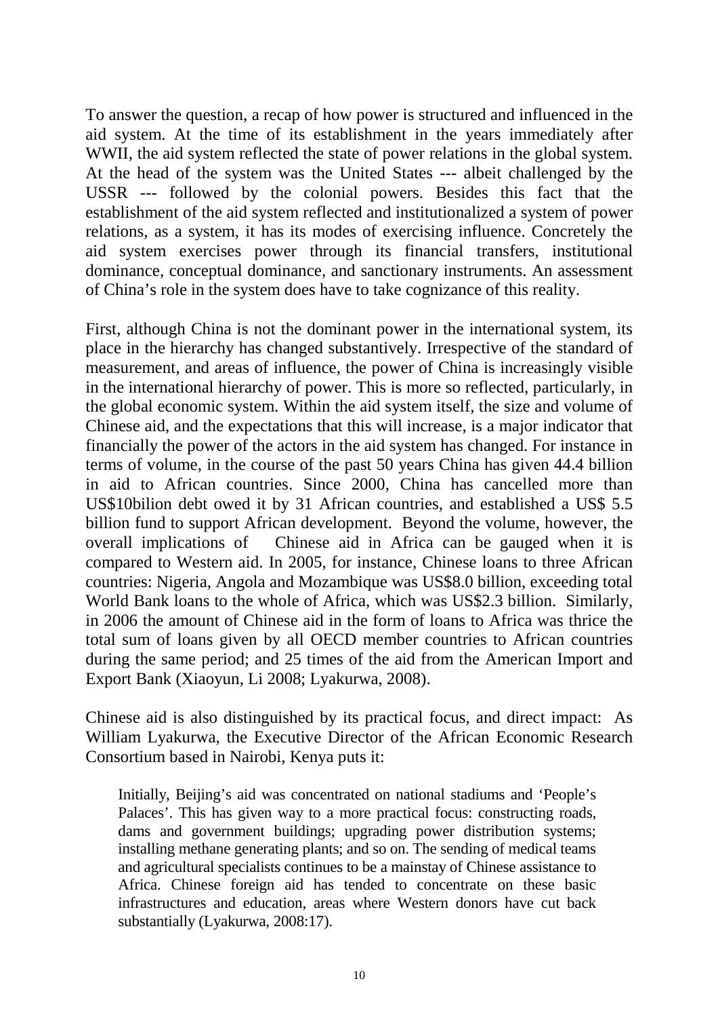To answer the question, a recap of how power is structured and influenced in the aid system. At the time of its establishment in the years immediately after WWII, the aid system reflected the state of power relations in the global system. At the head of the system was the United States --- albeit challenged by the USSR --- followed by the colonial powers. Besides this fact that the establishment of the aid system reflected and institutionalized a system of power relations, as a system, it has its modes of exercising influence. Concretely the aid system exercises power through its financial transfers, institutional dominance, conceptual dominance, and sanctionary instruments. An assessment of China's role in the system does have to take cognizance of this reality.

First, although China is not the dominant power in the international system, its place in the hierarchy has changed substantively. Irrespective of the standard of measurement, and areas of influence, the power of China is increasingly visible in the international hierarchy of power. This is more so reflected, particularly, in the global economic system. Within the aid system itself, the size and volume of Chinese aid, and the expectations that this will increase, is a major indicator that financially the power of the actors in the aid system has changed. For instance in terms of volume, in the course of the past 50 years China has given 44.4 billion in aid to African countries. Since 2000, China has cancelled more than US\$10bilion debt owed it by 31 African countries, and established a US\$ 5.5 billion fund to support African development. Beyond the volume, however, the overall implications of Chinese aid in Africa can be gauged when it is compared to Western aid. In 2005, for instance, Chinese loans to three African countries: Nigeria, Angola and Mozambique was US\$8.0 billion, exceeding total World Bank loans to the whole of Africa, which was US\$2.3 billion. Similarly, in 2006 the amount of Chinese aid in the form of loans to Africa was thrice the total sum of loans given by all OECD member countries to African countries during the same period; and 25 times of the aid from the American Import and Export Bank (Xiaoyun, Li 2008; Lyakurwa, 2008).

Chinese aid is also distinguished by its practical focus, and direct impact: As William Lyakurwa, the Executive Director of the African Economic Research Consortium based in Nairobi, Kenya puts it:

Initially, Beijing's aid was concentrated on national stadiums and 'People's Palaces'. This has given way to a more practical focus: constructing roads, dams and government buildings; upgrading power distribution systems; installing methane generating plants; and so on. The sending of medical teams and agricultural specialists continues to be a mainstay of Chinese assistance to Africa. Chinese foreign aid has tended to concentrate on these basic infrastructures and education, areas where Western donors have cut back substantially (Lyakurwa, 2008:17).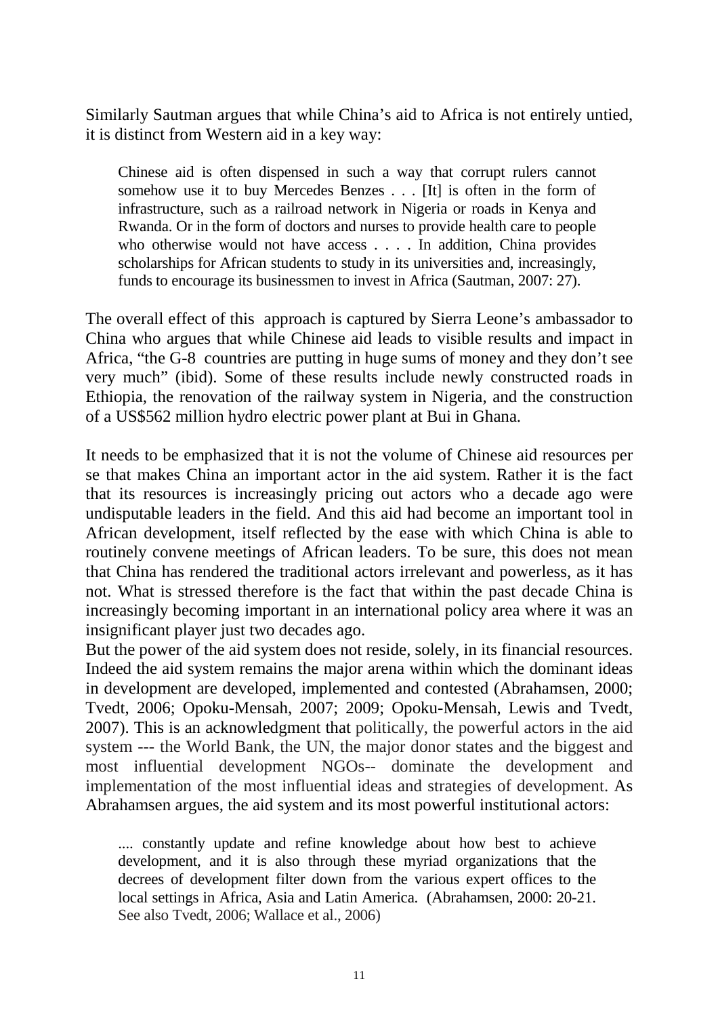Similarly Sautman argues that while China's aid to Africa is not entirely untied, it is distinct from Western aid in a key way:

Chinese aid is often dispensed in such a way that corrupt rulers cannot somehow use it to buy Mercedes Benzes . . . [It] is often in the form of infrastructure, such as a railroad network in Nigeria or roads in Kenya and Rwanda. Or in the form of doctors and nurses to provide health care to people who otherwise would not have access . . . . In addition, China provides scholarships for African students to study in its universities and, increasingly, funds to encourage its businessmen to invest in Africa (Sautman, 2007: 27).

The overall effect of this approach is captured by Sierra Leone's ambassador to China who argues that while Chinese aid leads to visible results and impact in Africa, "the G-8 countries are putting in huge sums of money and they don't see very much" (ibid). Some of these results include newly constructed roads in Ethiopia, the renovation of the railway system in Nigeria, and the construction of a US\$562 million hydro electric power plant at Bui in Ghana.

It needs to be emphasized that it is not the volume of Chinese aid resources per se that makes China an important actor in the aid system. Rather it is the fact that its resources is increasingly pricing out actors who a decade ago were undisputable leaders in the field. And this aid had become an important tool in African development, itself reflected by the ease with which China is able to routinely convene meetings of African leaders. To be sure, this does not mean that China has rendered the traditional actors irrelevant and powerless, as it has not. What is stressed therefore is the fact that within the past decade China is increasingly becoming important in an international policy area where it was an insignificant player just two decades ago.

But the power of the aid system does not reside, solely, in its financial resources. Indeed the aid system remains the major arena within which the dominant ideas in development are developed, implemented and contested (Abrahamsen, 2000; Tvedt, 2006; Opoku-Mensah, 2007; 2009; Opoku-Mensah, Lewis and Tvedt, 2007). This is an acknowledgment that politically, the powerful actors in the aid system --- the World Bank, the UN, the major donor states and the biggest and most influential development NGOs-- dominate the development and implementation of the most influential ideas and strategies of development. As Abrahamsen argues, the aid system and its most powerful institutional actors:

.... constantly update and refine knowledge about how best to achieve development, and it is also through these myriad organizations that the decrees of development filter down from the various expert offices to the local settings in Africa, Asia and Latin America. (Abrahamsen, 2000: 20-21. See also Tvedt, 2006; Wallace et al., 2006)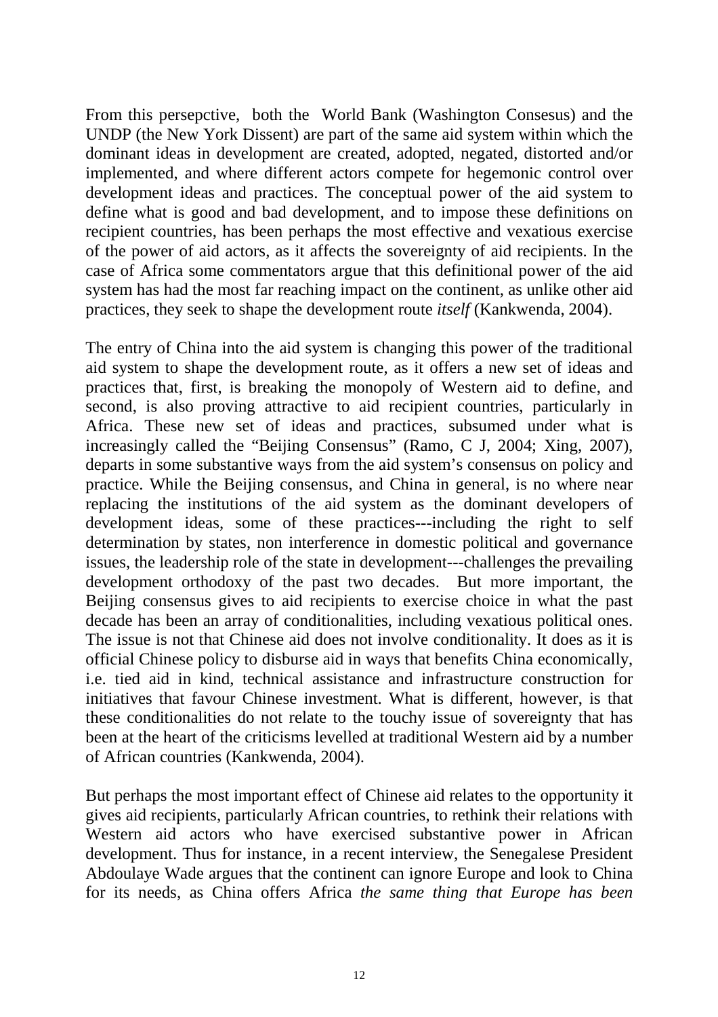From this persepctive, both the World Bank (Washington Consesus) and the UNDP (the New York Dissent) are part of the same aid system within which the dominant ideas in development are created, adopted, negated, distorted and/or implemented, and where different actors compete for hegemonic control over development ideas and practices. The conceptual power of the aid system to define what is good and bad development, and to impose these definitions on recipient countries, has been perhaps the most effective and vexatious exercise of the power of aid actors, as it affects the sovereignty of aid recipients. In the case of Africa some commentators argue that this definitional power of the aid system has had the most far reaching impact on the continent, as unlike other aid practices, they seek to shape the development route *itself* (Kankwenda, 2004).

The entry of China into the aid system is changing this power of the traditional aid system to shape the development route, as it offers a new set of ideas and practices that, first, is breaking the monopoly of Western aid to define, and second, is also proving attractive to aid recipient countries, particularly in Africa. These new set of ideas and practices, subsumed under what is increasingly called the "Beijing Consensus" (Ramo, C J, 2004; Xing, 2007), departs in some substantive ways from the aid system's consensus on policy and practice. While the Beijing consensus, and China in general, is no where near replacing the institutions of the aid system as the dominant developers of development ideas, some of these practices---including the right to self determination by states, non interference in domestic political and governance issues, the leadership role of the state in development---challenges the prevailing development orthodoxy of the past two decades. But more important, the Beijing consensus gives to aid recipients to exercise choice in what the past decade has been an array of conditionalities, including vexatious political ones. The issue is not that Chinese aid does not involve conditionality. It does as it is official Chinese policy to disburse aid in ways that benefits China economically, i.e. tied aid in kind, technical assistance and infrastructure construction for initiatives that favour Chinese investment. What is different, however, is that these conditionalities do not relate to the touchy issue of sovereignty that has been at the heart of the criticisms levelled at traditional Western aid by a number of African countries (Kankwenda, 2004).

But perhaps the most important effect of Chinese aid relates to the opportunity it gives aid recipients, particularly African countries, to rethink their relations with Western aid actors who have exercised substantive power in African development. Thus for instance, in a recent interview, the Senegalese President Abdoulaye Wade argues that the continent can ignore Europe and look to China for its needs, as China offers Africa *the same thing that Europe has been*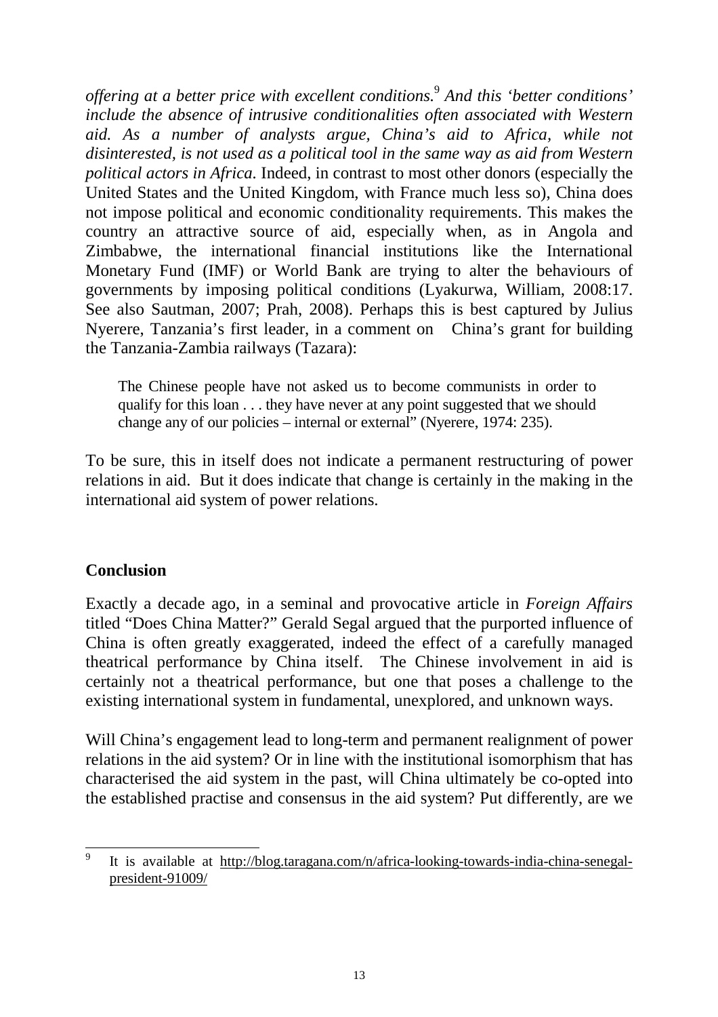*offering at a better price with excellent conditions.* 9  *And this 'better conditions' include the absence of intrusive conditionalities often associated with Western aid. As a number of analysts argue, China's aid to Africa, while not disinterested, is not used as a political tool in the same way as aid from Western political actors in Africa.* Indeed, in contrast to most other donors (especially the United States and the United Kingdom, with France much less so), China does not impose political and economic conditionality requirements. This makes the country an attractive source of aid, especially when, as in Angola and Zimbabwe, the international financial institutions like the International Monetary Fund (IMF) or World Bank are trying to alter the behaviours of governments by imposing political conditions (Lyakurwa, William, 2008:17. See also Sautman, 2007; Prah, 2008). Perhaps this is best captured by Julius Nyerere, Tanzania's first leader, in a comment on China's grant for building the Tanzania-Zambia railways (Tazara):

The Chinese people have not asked us to become communists in order to qualify for this loan . . . they have never at any point suggested that we should change any of our policies – internal or external" (Nyerere, 1974: 235).

To be sure, this in itself does not indicate a permanent restructuring of power relations in aid. But it does indicate that change is certainly in the making in the international aid system of power relations.

### **Conclusion**

Exactly a decade ago, in a seminal and provocative article in *Foreign Affairs* titled "Does China Matter?" Gerald Segal argued that the purported influence of China is often greatly exaggerated, indeed the effect of a carefully managed theatrical performance by China itself. The Chinese involvement in aid is certainly not a theatrical performance, but one that poses a challenge to the existing international system in fundamental, unexplored, and unknown ways.

Will China's engagement lead to long-term and permanent realignment of power relations in the aid system? Or in line with the institutional isomorphism that has characterised the aid system in the past, will China ultimately be co-opted into the established practise and consensus in the aid system? Put differently, are we

 9 It is available at http://blog.taragana.com/n/africa-looking-towards-india-china-senegalpresident-91009/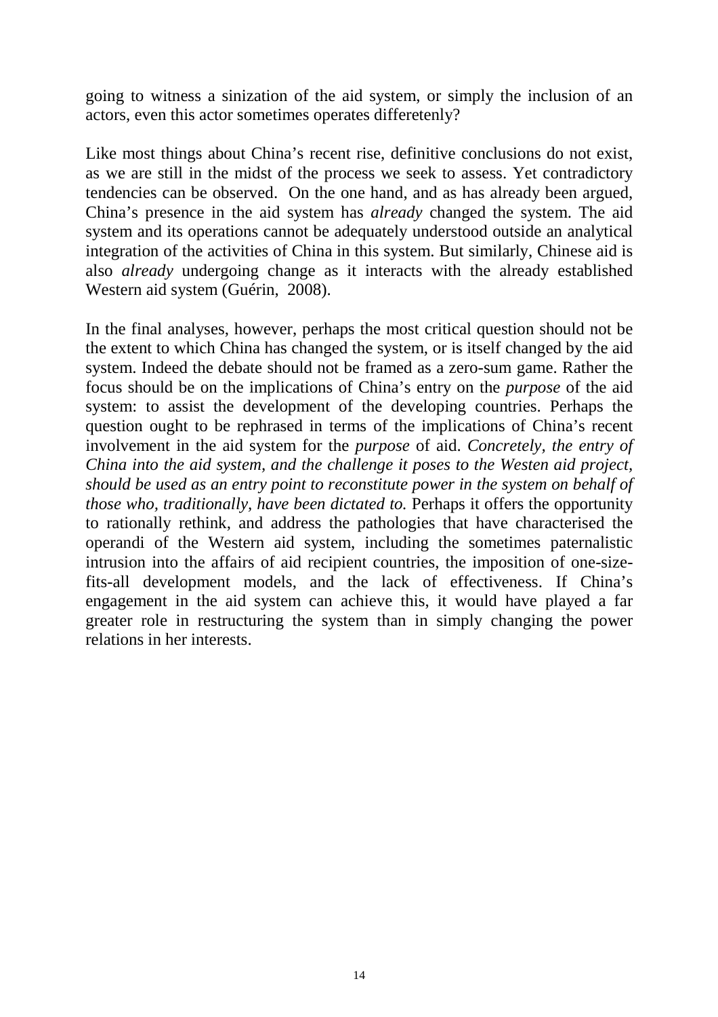going to witness a sinization of the aid system, or simply the inclusion of an actors, even this actor sometimes operates differetenly?

Like most things about China's recent rise, definitive conclusions do not exist, as we are still in the midst of the process we seek to assess. Yet contradictory tendencies can be observed. On the one hand, and as has already been argued, China's presence in the aid system has *already* changed the system. The aid system and its operations cannot be adequately understood outside an analytical integration of the activities of China in this system. But similarly, Chinese aid is also *already* undergoing change as it interacts with the already established Western aid system (Guérin, 2008).

In the final analyses, however, perhaps the most critical question should not be the extent to which China has changed the system, or is itself changed by the aid system. Indeed the debate should not be framed as a zero-sum game. Rather the focus should be on the implications of China's entry on the *purpose* of the aid system: to assist the development of the developing countries. Perhaps the question ought to be rephrased in terms of the implications of China's recent involvement in the aid system for the *purpose* of aid. *Concretely, the entry of China into the aid system, and the challenge it poses to the Westen aid project, should be used as an entry point to reconstitute power in the system on behalf of those who, traditionally, have been dictated to. Perhaps it offers the opportunity* to rationally rethink, and address the pathologies that have characterised the operandi of the Western aid system, including the sometimes paternalistic intrusion into the affairs of aid recipient countries, the imposition of one-sizefits-all development models, and the lack of effectiveness. If China's engagement in the aid system can achieve this, it would have played a far greater role in restructuring the system than in simply changing the power relations in her interests.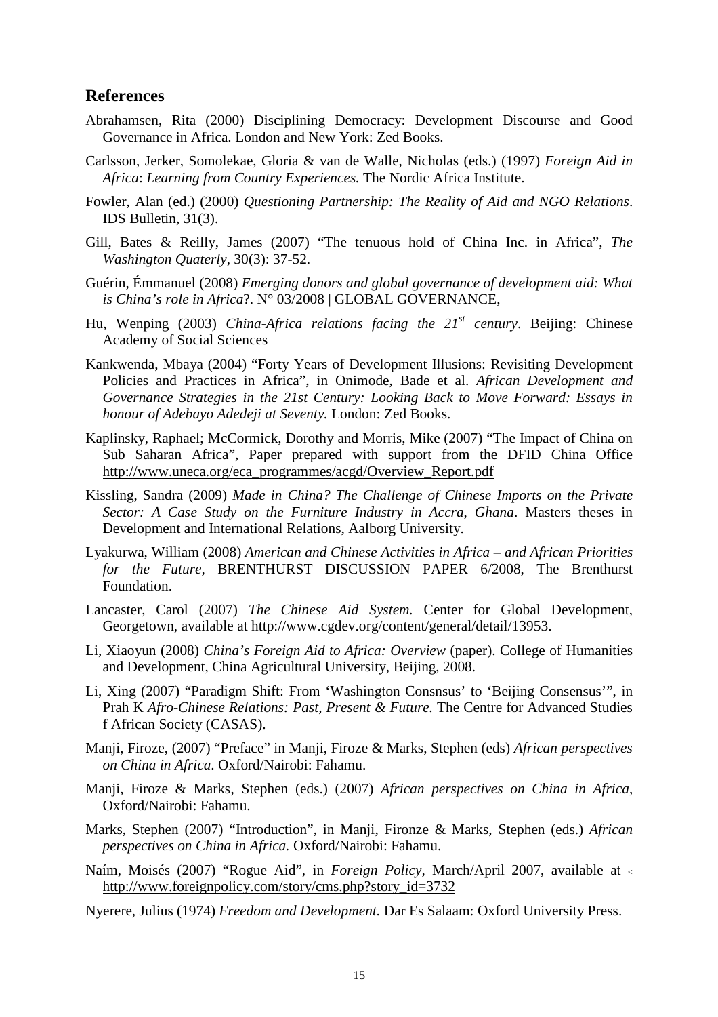#### **References**

- Abrahamsen, Rita (2000) Disciplining Democracy: Development Discourse and Good Governance in Africa. London and New York: Zed Books.
- Carlsson, Jerker, Somolekae, Gloria & van de Walle, Nicholas (eds.) (1997) *Foreign Aid in Africa*: *Learning from Country Experiences.* The Nordic Africa Institute.
- Fowler, Alan (ed.) (2000) *Questioning Partnership: The Reality of Aid and NGO Relations*. IDS Bulletin, 31(3).
- Gill, Bates & Reilly, James (2007) "The tenuous hold of China Inc. in Africa", *The Washington Quaterly*, 30(3): 37-52.
- Guérin, Émmanuel (2008) *Emerging donors and global governance of development aid: What is China's role in Africa*?. N° 03/2008 | GLOBAL GOVERNANCE,
- Hu, Wenping (2003) *China-Africa relations facing the 21st century*. Beijing: Chinese Academy of Social Sciences
- Kankwenda, Mbaya (2004) "Forty Years of Development Illusions: Revisiting Development Policies and Practices in Africa", in Onimode, Bade et al. *African Development and Governance Strategies in the 21st Century: Looking Back to Move Forward: Essays in honour of Adebayo Adedeji at Seventy.* London: Zed Books.
- Kaplinsky, Raphael; McCormick, Dorothy and Morris, Mike (2007) "The Impact of China on Sub Saharan Africa", Paper prepared with support from the DFID China Office http://www.uneca.org/eca\_programmes/acgd/Overview\_Report.pdf
- Kissling, Sandra (2009) *Made in China? The Challenge of Chinese Imports on the Private Sector: A Case Study on the Furniture Industry in Accra*, *Ghana*. Masters theses in Development and International Relations, Aalborg University.
- Lyakurwa, William (2008) *American and Chinese Activities in Africa and African Priorities for the Future,* BRENTHURST DISCUSSION PAPER 6/2008, The Brenthurst Foundation.
- Lancaster, Carol (2007) *The Chinese Aid System.* Center for Global Development, Georgetown, available at http://www.cgdev.org/content/general/detail/13953.
- Li, Xiaoyun (2008) *China's Foreign Aid to Africa: Overview* (paper). College of Humanities and Development, China Agricultural University, Beijing, 2008.
- Li, Xing (2007) "Paradigm Shift: From 'Washington Consnsus' to 'Beijing Consensus'", in Prah K *Afro-Chinese Relations: Past, Present & Future.* The Centre for Advanced Studies f African Society (CASAS).
- Manji, Firoze, (2007) "Preface" in Manji, Firoze & Marks, Stephen (eds) *African perspectives on China in Africa*. Oxford/Nairobi: Fahamu.
- Manji, Firoze & Marks, Stephen (eds.) (2007) *African perspectives on China in Africa*, Oxford/Nairobi: Fahamu.
- Marks, Stephen (2007) "Introduction", in Manji, Fironze & Marks, Stephen (eds.) *African perspectives on China in Africa.* Oxford/Nairobi: Fahamu.
- Naím, Moisés (2007) "Rogue Aid", in *Foreign Policy,* March/April 2007, available at <sup>&</sup>lt; http://www.foreignpolicy.com/story/cms.php?story\_id=3732
- Nyerere, Julius (1974) *Freedom and Development.* Dar Es Salaam: Oxford University Press.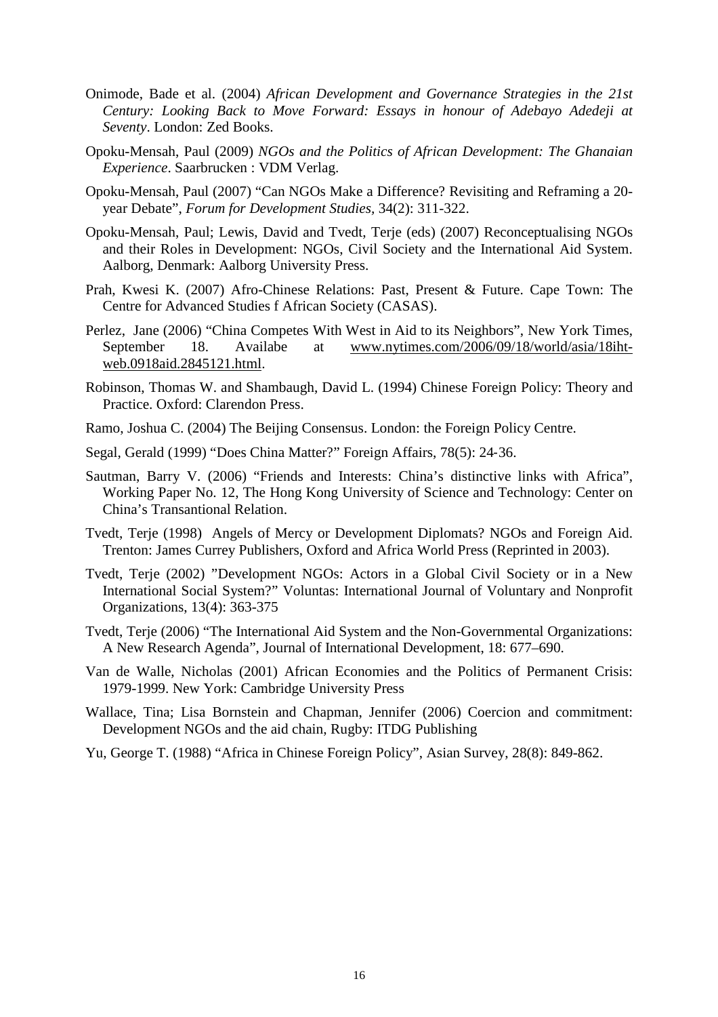- Onimode, Bade et al. (2004) *African Development and Governance Strategies in the 21st Century: Looking Back to Move Forward: Essays in honour of Adebayo Adedeji at Seventy*. London: Zed Books.
- Opoku-Mensah, Paul (2009) *NGOs and the Politics of African Development: The Ghanaian Experience*. Saarbrucken : VDM Verlag.
- Opoku-Mensah, Paul (2007) "Can NGOs Make a Difference? Revisiting and Reframing a 20 year Debate", *Forum for Development Studies,* 34(2): 311-322.
- Opoku-Mensah, Paul; Lewis, David and Tvedt, Terje (eds) (2007) Reconceptualising NGOs and their Roles in Development: NGOs, Civil Society and the International Aid System. Aalborg, Denmark: Aalborg University Press.
- Prah, Kwesi K. (2007) Afro-Chinese Relations: Past, Present & Future. Cape Town: The Centre for Advanced Studies f African Society (CASAS).
- Perlez, Jane (2006) "China Competes With West in Aid to its Neighbors", New York Times, September 18. Availabe at www.nytimes.com/2006/09/18/world/asia/18ihtweb.0918aid.2845121.html.
- Robinson, Thomas W. and Shambaugh, David L. (1994) Chinese Foreign Policy: Theory and Practice. Oxford: Clarendon Press.
- Ramo, Joshua C. (2004) The Beijing Consensus. London: the Foreign Policy Centre.
- Segal, Gerald (1999) "Does China Matter?" Foreign Affairs, 78(5): 24‐36.
- Sautman, Barry V. (2006) "Friends and Interests: China's distinctive links with Africa", Working Paper No. 12, The Hong Kong University of Science and Technology: Center on China's Transantional Relation.
- Tvedt, Terje (1998) Angels of Mercy or Development Diplomats? NGOs and Foreign Aid. Trenton: James Currey Publishers, Oxford and Africa World Press (Reprinted in 2003).
- Tvedt, Terje (2002) "Development NGOs: Actors in a Global Civil Society or in a New International Social System?" Voluntas: International Journal of Voluntary and Nonprofit Organizations, 13(4): 363-375
- Tvedt, Terje (2006) "The International Aid System and the Non-Governmental Organizations: A New Research Agenda", Journal of International Development, 18: 677–690.
- Van de Walle, Nicholas (2001) African Economies and the Politics of Permanent Crisis: 1979-1999. New York: Cambridge University Press
- Wallace, Tina; Lisa Bornstein and Chapman, Jennifer (2006) Coercion and commitment: Development NGOs and the aid chain, Rugby: ITDG Publishing
- Yu, George T. (1988) "Africa in Chinese Foreign Policy", Asian Survey, 28(8): 849-862.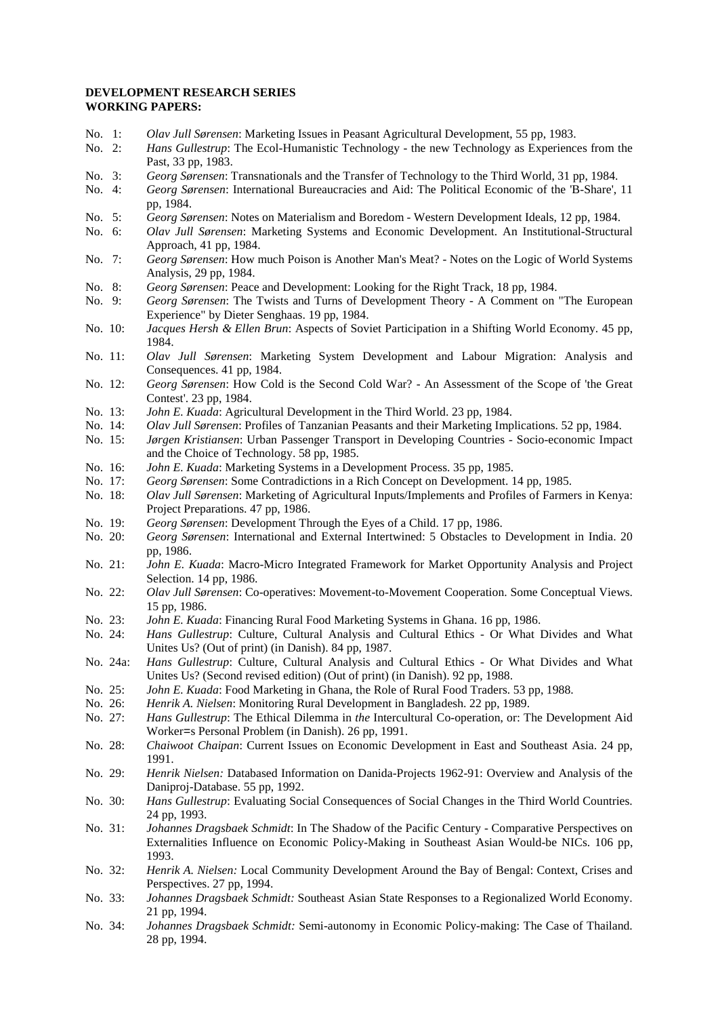#### **DEVELOPMENT RESEARCH SERIES WORKING PAPERS:**

- No. 1: *Olav Jull Sørensen*: Marketing Issues in Peasant Agricultural Development, 55 pp, 1983.<br>No. 2: *Hans Gullestrup*: The Ecol-Humanistic Technology the new Technology as Experience
- Hans Gullestrup: The Ecol-Humanistic Technology the new Technology as Experiences from the Past, 33 pp, 1983.
- No. 3: *Georg Sørensen*: Transnationals and the Transfer of Technology to the Third World, 31 pp, 1984.
- No. 4: *Georg Sørensen*: International Bureaucracies and Aid: The Political Economic of the 'B-Share', 11 pp, 1984.
- No. 5: *Georg Sørensen*: Notes on Materialism and Boredom Western Development Ideals, 12 pp, 1984.
- No. 6: *Olav Jull Sørensen*: Marketing Systems and Economic Development. An Institutional-Structural Approach, 41 pp, 1984.
- No. 7: *Georg Sørensen*: How much Poison is Another Man's Meat? Notes on the Logic of World Systems Analysis, 29 pp, 1984.
- No. 8: *Georg Sørensen*: Peace and Development: Looking for the Right Track, 18 pp, 1984.
- No. 9: *Georg Sørensen*: The Twists and Turns of Development Theory A Comment on "The European Experience" by Dieter Senghaas. 19 pp, 1984.
- No. 10: *Jacques Hersh & Ellen Brun*: Aspects of Soviet Participation in a Shifting World Economy. 45 pp, 1984.
- No. 11: *Olav Jull Sørensen*: Marketing System Development and Labour Migration: Analysis and Consequences. 41 pp, 1984.
- No. 12: *Georg Sørensen*: How Cold is the Second Cold War? An Assessment of the Scope of 'the Great Contest'. 23 pp, 1984.
- No. 13: *John E. Kuada*: Agricultural Development in the Third World. 23 pp, 1984.
- No. 14: *Olav Jull Sørensen*: Profiles of Tanzanian Peasants and their Marketing Implications. 52 pp, 1984.
- No. 15: *Jørgen Kristiansen*: Urban Passenger Transport in Developing Countries Socio-economic Impact and the Choice of Technology. 58 pp, 1985.
- No. 16: *John E. Kuada*: Marketing Systems in a Development Process. 35 pp, 1985.
- No. 17: *Georg Sørensen*: Some Contradictions in a Rich Concept on Development. 14 pp, 1985.
- No. 18: *Olav Jull Sørensen*: Marketing of Agricultural Inputs/Implements and Profiles of Farmers in Kenya: Project Preparations. 47 pp, 1986.
- No. 19: *Georg Sørensen*: Development Through the Eyes of a Child. 17 pp, 1986.
- No. 20: *Georg Sørensen*: International and External Intertwined: 5 Obstacles to Development in India. 20 pp, 1986.
- No. 21: *John E. Kuada*: Macro-Micro Integrated Framework for Market Opportunity Analysis and Project Selection. 14 pp, 1986.
- No. 22: *Olav Jull Sørensen*: Co-operatives: Movement-to-Movement Cooperation. Some Conceptual Views. 15 pp, 1986.
- No. 23: *John E. Kuada*: Financing Rural Food Marketing Systems in Ghana. 16 pp, 1986.
- No. 24: *Hans Gullestrup*: Culture, Cultural Analysis and Cultural Ethics Or What Divides and What Unites Us? (Out of print) (in Danish). 84 pp, 1987.
- No. 24a: *Hans Gullestrup*: Culture, Cultural Analysis and Cultural Ethics Or What Divides and What Unites Us? (Second revised edition) (Out of print) (in Danish). 92 pp, 1988.
- No. 25: *John E. Kuada*: Food Marketing in Ghana, the Role of Rural Food Traders. 53 pp, 1988.
- Henrik A. Nielsen: Monitoring Rural Development in Bangladesh. 22 pp, 1989.

No. 27: *Hans Gullestrup*: The Ethical Dilemma in *the* Intercultural Co-operation, or: The Development Aid Worker=s Personal Problem (in Danish). 26 pp, 1991.

- No. 28: *Chaiwoot Chaipan*: Current Issues on Economic Development in East and Southeast Asia. 24 pp, 1991.
- No. 29: *Henrik Nielsen:* Databased Information on Danida-Projects 1962-91: Overview and Analysis of the Daniproj-Database. 55 pp, 1992.
- No. 30: *Hans Gullestrup*: Evaluating Social Consequences of Social Changes in the Third World Countries. 24 pp, 1993.
- No. 31: *Johannes Dragsbaek Schmidt*: In The Shadow of the Pacific Century Comparative Perspectives on Externalities Influence on Economic Policy-Making in Southeast Asian Would-be NICs. 106 pp, 1993.
- No. 32: *Henrik A. Nielsen:* Local Community Development Around the Bay of Bengal: Context, Crises and Perspectives. 27 pp, 1994.
- No. 33: *Johannes Dragsbaek Schmidt:* Southeast Asian State Responses to a Regionalized World Economy. 21 pp, 1994.
- No. 34: *Johannes Dragsbaek Schmidt:* Semi-autonomy in Economic Policy-making: The Case of Thailand. 28 pp, 1994.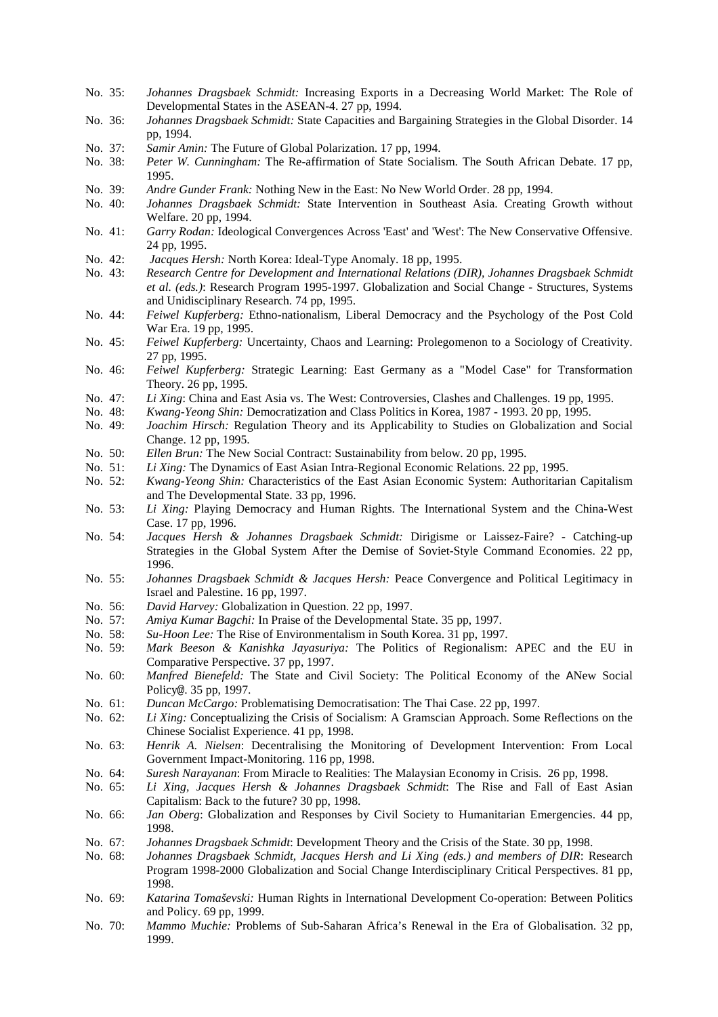- No. 35: *Johannes Dragsbaek Schmidt:* Increasing Exports in a Decreasing World Market: The Role of Developmental States in the ASEAN-4. 27 pp, 1994.
- No. 36: *Johannes Dragsbaek Schmidt:* State Capacities and Bargaining Strategies in the Global Disorder. 14 pp, 1994.
- No. 37: *Samir Amin:* The Future of Global Polarization. 17 pp, 1994.
- No. 38: *Peter W. Cunningham:* The Re-affirmation of State Socialism. The South African Debate. 17 pp, 1995.
- No. 39: *Andre Gunder Frank:* Nothing New in the East: No New World Order. 28 pp, 1994.
- No. 40: *Johannes Dragsbaek Schmidt:* State Intervention in Southeast Asia. Creating Growth without Welfare. 20 pp, 1994.
- No. 41: *Garry Rodan:* Ideological Convergences Across 'East' and 'West': The New Conservative Offensive. 24 pp, 1995.
- No. 42: *Jacques Hersh:* North Korea: Ideal-Type Anomaly. 18 pp, 1995.
- No. 43: *Research Centre for Development and International Relations (DIR), Johannes Dragsbaek Schmidt et al. (eds.)*: Research Program 1995-1997. Globalization and Social Change - Structures, Systems and Unidisciplinary Research. 74 pp, 1995.
- No. 44: *Feiwel Kupferberg:* Ethno-nationalism, Liberal Democracy and the Psychology of the Post Cold War Era. 19 pp, 1995.
- No. 45: *Feiwel Kupferberg:* Uncertainty, Chaos and Learning: Prolegomenon to a Sociology of Creativity. 27 pp, 1995.
- No. 46: *Feiwel Kupferberg:* Strategic Learning: East Germany as a "Model Case" for Transformation Theory. 26 pp, 1995.
- No. 47: *Li Xing*: China and East Asia vs. The West: Controversies, Clashes and Challenges. 19 pp, 1995.
- No. 48: *Kwang-Yeong Shin:* Democratization and Class Politics in Korea, 1987 1993. 20 pp, 1995.
- No. 49: *Joachim Hirsch:* Regulation Theory and its Applicability to Studies on Globalization and Social Change. 12 pp, 1995.
- No. 50: *Ellen Brun:* The New Social Contract: Sustainability from below. 20 pp, 1995.
- No. 51: *Li Xing:* The Dynamics of East Asian Intra-Regional Economic Relations. 22 pp, 1995.
- No. 52: *Kwang-Yeong Shin:* Characteristics of the East Asian Economic System: Authoritarian Capitalism and The Developmental State. 33 pp, 1996.
- No. 53: *Li Xing:* Playing Democracy and Human Rights. The International System and the China-West Case. 17 pp, 1996.
- No. 54: *Jacques Hersh & Johannes Dragsbaek Schmidt:* Dirigisme or Laissez-Faire? Catching-up Strategies in the Global System After the Demise of Soviet-Style Command Economies. 22 pp, 1996.
- No. 55: *Johannes Dragsbaek Schmidt & Jacques Hersh:* Peace Convergence and Political Legitimacy in Israel and Palestine. 16 pp, 1997.
- No. 56: *David Harvey:* Globalization in Question. 22 pp, 1997.
- No. 57: *Amiya Kumar Bagchi:* In Praise of the Developmental State. 35 pp, 1997.
- Su-Hoon Lee: The Rise of Environmentalism in South Korea. 31 pp, 1997.
- No. 59: *Mark Beeson & Kanishka Jayasuriya:* The Politics of Regionalism: APEC and the EU in Comparative Perspective. 37 pp, 1997.
- No. 60: *Manfred Bienefeld:* The State and Civil Society: The Political Economy of the ANew Social Policy@. 35 pp, 1997.
- No. 61: *Duncan McCargo:* Problematising Democratisation: The Thai Case. 22 pp, 1997.
- No. 62: *Li Xing:* Conceptualizing the Crisis of Socialism: A Gramscian Approach. Some Reflections on the Chinese Socialist Experience. 41 pp, 1998.
- No. 63: *Henrik A. Nielsen*: Decentralising the Monitoring of Development Intervention: From Local Government Impact-Monitoring. 116 pp, 1998.
- No. 64: *Suresh Narayanan*: From Miracle to Realities: The Malaysian Economy in Crisis. 26 pp, 1998.
- No. 65: *Li Xing, Jacques Hersh & Johannes Dragsbaek Schmidt*: The Rise and Fall of East Asian Capitalism: Back to the future? 30 pp, 1998.
- No. 66: *Jan Oberg*: Globalization and Responses by Civil Society to Humanitarian Emergencies. 44 pp, 1998.
- No. 67: *Johannes Dragsbaek Schmidt*: Development Theory and the Crisis of the State. 30 pp, 1998.
- No. 68: *Johannes Dragsbaek Schmidt, Jacques Hersh and Li Xing (eds.) and members of DIR*: Research Program 1998-2000 Globalization and Social Change Interdisciplinary Critical Perspectives. 81 pp, 1998.
- No. 69: *Katarina Tomaševski:* Human Rights in International Development Co-operation: Between Politics and Policy. 69 pp, 1999.
- No. 70: *Mammo Muchie:* Problems of Sub-Saharan Africa's Renewal in the Era of Globalisation. 32 pp, 1999.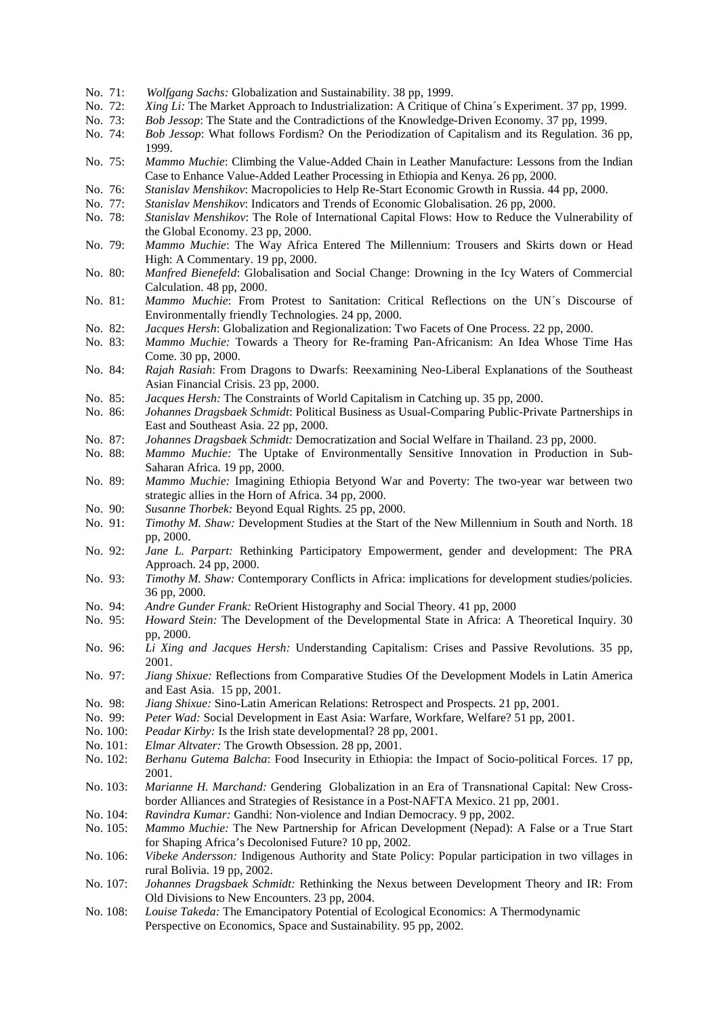- No. 71: *Wolfgang Sachs:* Globalization and Sustainability. 38 pp, 1999.
- No. 72: *Xing Li:* The Market Approach to Industrialization: A Critique of China´s Experiment. 37 pp, 1999.
- No. 73: *Bob Jessop*: The State and the Contradictions of the Knowledge-Driven Economy. 37 pp, 1999.
- No. 74: *Bob Jessop*: What follows Fordism? On the Periodization of Capitalism and its Regulation. 36 pp, 1999.
- No. 75: *Mammo Muchie*: Climbing the Value-Added Chain in Leather Manufacture: Lessons from the Indian Case to Enhance Value-Added Leather Processing in Ethiopia and Kenya. 26 pp, 2000.
- No. 76: *Stanislav Menshikov*: Macropolicies to Help Re-Start Economic Growth in Russia. 44 pp, 2000.
- No. 77: *Stanislav Menshikov*: Indicators and Trends of Economic Globalisation. 26 pp, 2000.
- No. 78: *Stanislav Menshikov*: The Role of International Capital Flows: How to Reduce the Vulnerability of the Global Economy. 23 pp, 2000.
- No. 79: *Mammo Muchie*: The Way Africa Entered The Millennium: Trousers and Skirts down or Head High: A Commentary. 19 pp, 2000.
- No. 80: *Manfred Bienefeld*: Globalisation and Social Change: Drowning in the Icy Waters of Commercial Calculation. 48 pp, 2000.
- No. 81: *Mammo Muchie*: From Protest to Sanitation: Critical Reflections on the UN´s Discourse of Environmentally friendly Technologies. 24 pp, 2000.
- No. 82: *Jacques Hersh*: Globalization and Regionalization: Two Facets of One Process. 22 pp, 2000.
- No. 83: *Mammo Muchie:* Towards a Theory for Re-framing Pan-Africanism: An Idea Whose Time Has Come. 30 pp, 2000.
- No. 84: *Rajah Rasiah*: From Dragons to Dwarfs: Reexamining Neo-Liberal Explanations of the Southeast Asian Financial Crisis. 23 pp, 2000.
- No. 85: *Jacques Hersh:* The Constraints of World Capitalism in Catching up. 35 pp, 2000.
- No. 86: *Johannes Dragsbaek Schmidt*: Political Business as Usual-Comparing Public-Private Partnerships in East and Southeast Asia. 22 pp, 2000.
- No. 87: *Johannes Dragsbaek Schmidt:* Democratization and Social Welfare in Thailand. 23 pp, 2000.
- No. 88: *Mammo Muchie:* The Uptake of Environmentally Sensitive Innovation in Production in Sub-Saharan Africa. 19 pp, 2000.
- No. 89: *Mammo Muchie:* Imagining Ethiopia Betyond War and Poverty: The two-year war between two strategic allies in the Horn of Africa. 34 pp, 2000.
- No. 90: *Susanne Thorbek:* Beyond Equal Rights. 25 pp, 2000.
- No. 91: *Timothy M. Shaw:* Development Studies at the Start of the New Millennium in South and North. 18 pp, 2000.
- No. 92: *Jane L. Parpart:* Rethinking Participatory Empowerment, gender and development: The PRA Approach. 24 pp, 2000.
- No. 93: *Timothy M. Shaw:* Contemporary Conflicts in Africa: implications for development studies/policies. 36 pp, 2000.
- No. 94: *Andre Gunder Frank:* ReOrient Histography and Social Theory. 41 pp, 2000
- No. 95: *Howard Stein:* The Development of the Developmental State in Africa: A Theoretical Inquiry. 30 pp, 2000.
- No. 96: *Li Xing and Jacques Hersh:* Understanding Capitalism: Crises and Passive Revolutions. 35 pp, 2001.
- No. 97: *Jiang Shixue:* Reflections from Comparative Studies Of the Development Models in Latin America and East Asia. 15 pp, 2001.
- No. 98: *Jiang Shixue:* Sino-Latin American Relations: Retrospect and Prospects. 21 pp, 2001.
- No. 99: *Peter Wad:* Social Development in East Asia: Warfare, Workfare, Welfare? 51 pp, 2001.
- No. 100: *Peadar Kirby:* Is the Irish state developmental? 28 pp, 2001.
- No. 101: *Elmar Altvater:* The Growth Obsession. 28 pp, 2001.
- No. 102: *Berhanu Gutema Balcha*: Food Insecurity in Ethiopia: the Impact of Socio-political Forces. 17 pp, 2001.
- No. 103: *Marianne H. Marchand:* Gendering Globalization in an Era of Transnational Capital: New Crossborder Alliances and Strategies of Resistance in a Post-NAFTA Mexico. 21 pp, 2001.
- No. 104: *Ravindra Kumar:* Gandhi: Non-violence and Indian Democracy. 9 pp, 2002.
- No. 105: *Mammo Muchie:* The New Partnership for African Development (Nepad): A False or a True Start for Shaping Africa's Decolonised Future? 10 pp, 2002.
- No. 106: *Vibeke Andersson:* Indigenous Authority and State Policy: Popular participation in two villages in rural Bolivia. 19 pp, 2002.
- No. 107: *Johannes Dragsbaek Schmidt:* Rethinking the Nexus between Development Theory and IR: From Old Divisions to New Encounters. 23 pp, 2004.
- No. 108: *Louise Takeda:* The Emancipatory Potential of Ecological Economics: A Thermodynamic Perspective on Economics, Space and Sustainability. 95 pp, 2002.